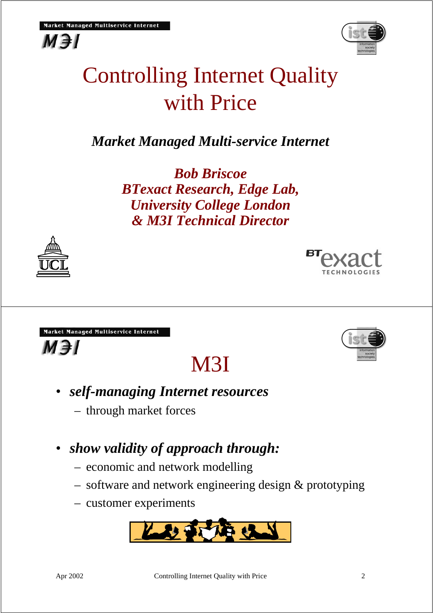## Controlling Internet Quality with Price

*Market Managed Multi-service Internet*

*Bob Briscoe BTexact Research, Edge Lab, University College London & M3I Technical Director*

Market Managed Multiservice Internet

 $M \ni I$ 

- *self-managing Internet resources*
	- through market forces
- *show validity of approach through:*
	- economic and network modelling
	- software and network engineering design & prototyping
	- customer experiments













M3I



 $M \ni I$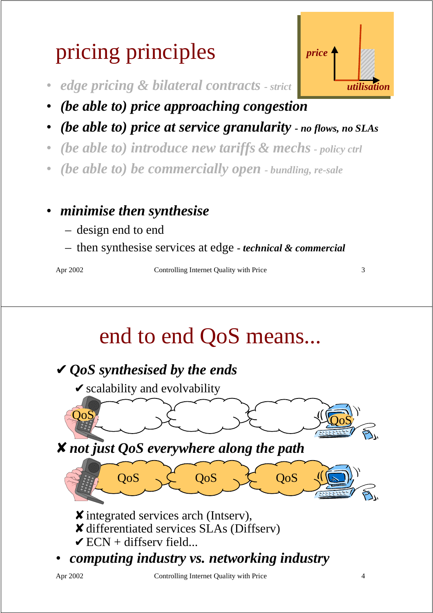# pricing principles

- *edge pricing & bilateral contracts strict*
- *(be able to) price approaching congestion*
- *(be able to) price at service granularity no flows, no SLAs*
- *(be able to) introduce new tariffs & mechs policy ctrl*
- *(be able to) be commercially open bundling, re-sale*

### • *minimise then synthesise*

- design end to end
- then synthesise services at edge  *technical & commercial*

Apr 2002 **Controlling Internet Quality with Price** 3

## end to end QoS means...



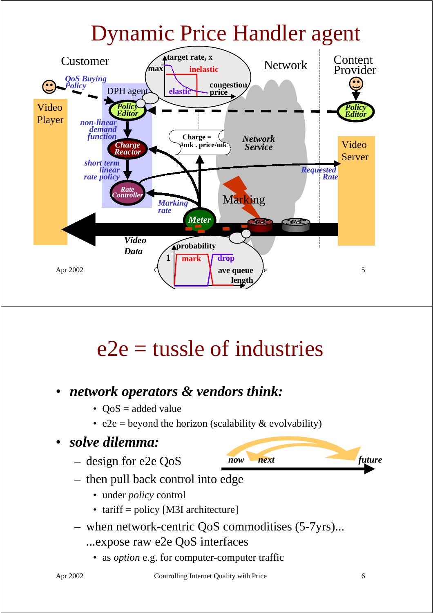## Dynamic Price Handler agent



## $e<sup>2</sup>e$  = tussle of industries

### • *network operators & vendors think:*

- $QoS = added value$
- e2e = beyond the horizon (scalability  $&$  evolvability)

#### • *solve dilemma:*

– design for e2e QoS



- then pull back control into edge
	- under *policy* control
	- tariff = policy [M3I architecture]
- when network-centric QoS commoditises (5-7yrs)...
	- ...expose raw e2e QoS interfaces
		- as *option* e.g. for computer-computer traffic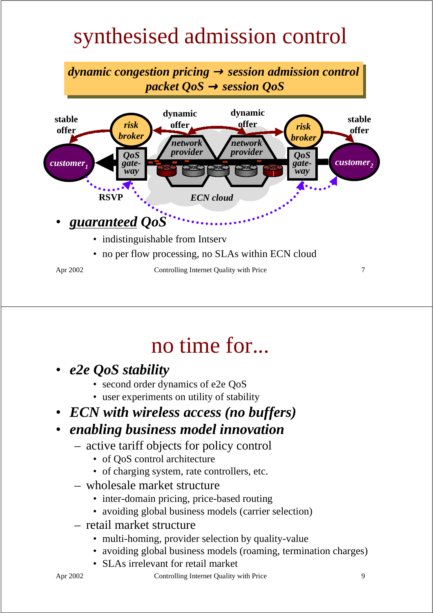## synthesised admission control



### no time for...

- *e2e QoS stability*
	- second order dynamics of e2e QoS
	- user experiments on utility of stability
- *ECN with wireless access (no buffers)*

### • *enabling business model innovation*

- active tariff objects for policy control
	- of OoS control architecture
	- of charging system, rate controllers, etc.
- wholesale market structure
	- inter-domain pricing, price-based routing
	- avoiding global business models (carrier selection)
- retail market structure
	- multi-homing, provider selection by quality-value
	- avoiding global business models (roaming, termination charges)
	- SLAs irrelevant for retail market